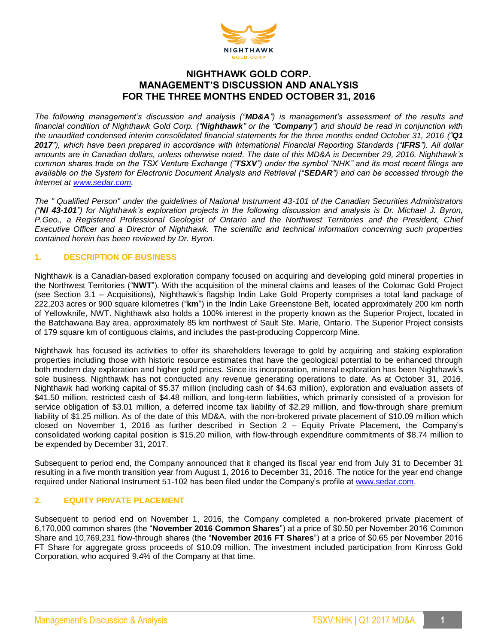

# **NIGHTHAWK GOLD CORP. MANAGEMENT'S DISCUSSION AND ANALYSIS FOR THE THREE MONTHS ENDED OCTOBER 31, 2016**

*The following management's discussion and analysis ("MD&A") is management's assessment of the results and financial condition of Nighthawk Gold Corp. ("Nighthawk" or the "Company") and should be read in conjunction with the unaudited condensed interim consolidated financial statements for the three months ended October 31, 2016 ("Q1 2017"), which have been prepared in accordance with International Financial Reporting Standards ("IFRS"). All dollar amounts are in Canadian dollars, unless otherwise noted. The date of this MD&A is December 29, 2016. Nighthawk's common shares trade on the TSX Venture Exchange ("TSXV") under the symbol "NHK" and its most recent filings are available on the System for Electronic Document Analysis and Retrieval ("SEDAR") and can be accessed through the Internet at [www.sedar.com.](http://www.sedar.com/)*

*The " Qualified Person" under the guidelines of National Instrument 43-101 of the Canadian Securities Administrators ("NI 43-101") for Nighthawk's exploration projects in the following discussion and analysis is Dr. Michael J. Byron, P.Geo., a Registered Professional Geologist of Ontario and the Northwest Territories and the President, Chief Executive Officer and a Director of Nighthawk. The scientific and technical information concerning such properties contained herein has been reviewed by Dr. Byron.*

# **1. DESCRIPTION OF BUSINESS**

Nighthawk is a Canadian-based exploration company focused on acquiring and developing gold mineral properties in the Northwest Territories ("**NWT**"). With the acquisition of the mineral claims and leases of the Colomac Gold Project (see Section 3.1 – Acquisitions), Nighthawk's flagship Indin Lake Gold Property comprises a total land package of 222,203 acres or 900 square kilometres ("**km**") in the Indin Lake Greenstone Belt, located approximately 200 km north of Yellowknife, NWT. Nighthawk also holds a 100% interest in the property known as the Superior Project, located in the Batchawana Bay area, approximately 85 km northwest of Sault Ste. Marie, Ontario. The Superior Project consists of 179 square km of contiguous claims, and includes the past-producing Coppercorp Mine.

Nighthawk has focused its activities to offer its shareholders leverage to gold by acquiring and staking exploration properties including those with historic resource estimates that have the geological potential to be enhanced through both modern day exploration and higher gold prices. Since its incorporation, mineral exploration has been Nighthawk's sole business. Nighthawk has not conducted any revenue generating operations to date. As at October 31, 2016, Nighthawk had working capital of \$5.37 million (including cash of \$4.63 million), exploration and evaluation assets of \$41.50 million, restricted cash of \$4.48 million, and long-term liabilities, which primarily consisted of a provision for service obligation of \$3.01 million, a deferred income tax liability of \$2.29 million, and flow-through share premium liability of \$1.25 million. As of the date of this MD&A, with the non-brokered private placement of \$10.09 million which closed on November 1, 2016 as further described in Section 2 – Equity Private Placement, the Company's consolidated working capital position is \$15.20 million, with flow-through expenditure commitments of \$8.74 million to be expended by December 31, 2017.

Subsequent to period end, the Company announced that it changed its fiscal year end from July 31 to December 31 resulting in a five month transition year from August 1, 2016 to December 31, 2016. The notice for the year end change required under National Instrument 51-102 has been filed under the Company's profile at [www.sedar.com.](http://www.sedar.com/)

## **2. EQUITY PRIVATE PLACEMENT**

Subsequent to period end on November 1, 2016, the Company completed a non-brokered private placement of 6,170,000 common shares (the "**November 2016 Common Shares**") at a price of \$0.50 per November 2016 Common Share and 10,769,231 flow-through shares (the "**November 2016 FT Shares**") at a price of \$0.65 per November 2016 FT Share for aggregate gross proceeds of \$10.09 million. The investment included participation from Kinross Gold Corporation, who acquired 9.4% of the Company at that time.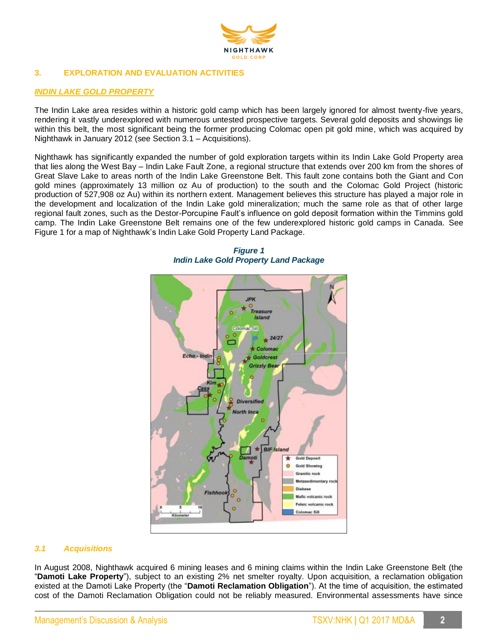

# **3. EXPLORATION AND EVALUATION ACTIVITIES**

# *INDIN LAKE GOLD PROPERTY*

The Indin Lake area resides within a historic gold camp which has been largely ignored for almost twenty-five years, rendering it vastly underexplored with numerous untested prospective targets. Several gold deposits and showings lie within this belt, the most significant being the former producing Colomac open pit gold mine, which was acquired by Nighthawk in January 2012 (see Section 3.1 – Acquisitions).

Nighthawk has significantly expanded the number of gold exploration targets within its Indin Lake Gold Property area that lies along the West Bay – Indin Lake Fault Zone, a regional structure that extends over 200 km from the shores of Great Slave Lake to areas north of the Indin Lake Greenstone Belt. This fault zone contains both the Giant and Con gold mines (approximately 13 million oz Au of production) to the south and the Colomac Gold Project (historic production of 527,908 oz Au) within its northern extent. Management believes this structure has played a major role in the development and localization of the Indin Lake gold mineralization; much the same role as that of other large regional fault zones, such as the Destor-Porcupine Fault's influence on gold deposit formation within the Timmins gold camp. The Indin Lake Greenstone Belt remains one of the few underexplored historic gold camps in Canada. See Figure 1 for a map of Nighthawk's Indin Lake Gold Property Land Package.





# *3.1 Acquisitions*

In August 2008, Nighthawk acquired 6 mining leases and 6 mining claims within the Indin Lake Greenstone Belt (the "**Damoti Lake Property**"), subject to an existing 2% net smelter royalty. Upon acquisition, a reclamation obligation existed at the Damoti Lake Property (the "**Damoti Reclamation Obligation**"). At the time of acquisition, the estimated cost of the Damoti Reclamation Obligation could not be reliably measured. Environmental assessments have since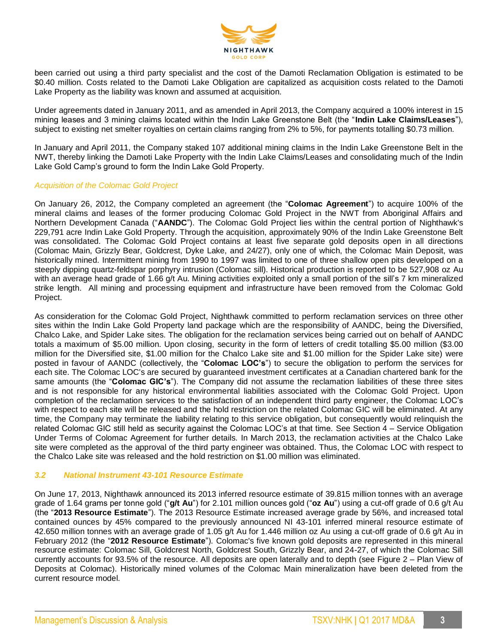

been carried out using a third party specialist and the cost of the Damoti Reclamation Obligation is estimated to be \$0.40 million. Costs related to the Damoti Lake Obligation are capitalized as acquisition costs related to the Damoti Lake Property as the liability was known and assumed at acquisition.

Under agreements dated in January 2011, and as amended in April 2013, the Company acquired a 100% interest in 15 mining leases and 3 mining claims located within the Indin Lake Greenstone Belt (the "**Indin Lake Claims/Leases**"), subject to existing net smelter royalties on certain claims ranging from 2% to 5%, for payments totalling \$0.73 million.

In January and April 2011, the Company staked 107 additional mining claims in the Indin Lake Greenstone Belt in the NWT, thereby linking the Damoti Lake Property with the Indin Lake Claims/Leases and consolidating much of the Indin Lake Gold Camp's ground to form the Indin Lake Gold Property.

#### *Acquisition of the Colomac Gold Project*

On January 26, 2012, the Company completed an agreement (the "**Colomac Agreement**") to acquire 100% of the mineral claims and leases of the former producing Colomac Gold Project in the NWT from Aboriginal Affairs and Northern Development Canada ("**AANDC**"). The Colomac Gold Project lies within the central portion of Nighthawk's 229,791 acre Indin Lake Gold Property. Through the acquisition, approximately 90% of the Indin Lake Greenstone Belt was consolidated. The Colomac Gold Project contains at least five separate gold deposits open in all directions (Colomac Main, Grizzly Bear, Goldcrest, Dyke Lake, and 24/27), only one of which, the Colomac Main Deposit, was historically mined. Intermittent mining from 1990 to 1997 was limited to one of three shallow open pits developed on a steeply dipping quartz-feldspar porphyry intrusion (Colomac sill). Historical production is reported to be 527,908 oz Au with an average head grade of 1.66 g/t Au. Mining activities exploited only a small portion of the sill's 7 km mineralized strike length. All mining and processing equipment and infrastructure have been removed from the Colomac Gold Project.

As consideration for the Colomac Gold Project, Nighthawk committed to perform reclamation services on three other sites within the Indin Lake Gold Property land package which are the responsibility of AANDC, being the Diversified, Chalco Lake, and Spider Lake sites. The obligation for the reclamation services being carried out on behalf of AANDC totals a maximum of \$5.00 million. Upon closing, security in the form of letters of credit totalling \$5.00 million (\$3.00 million for the Diversified site, \$1.00 million for the Chalco Lake site and \$1.00 million for the Spider Lake site) were posted in favour of AANDC (collectively, the "**Colomac LOC's**") to secure the obligation to perform the services for each site. The Colomac LOC's are secured by guaranteed investment certificates at a Canadian chartered bank for the same amounts (the "**Colomac GIC's**"). The Company did not assume the reclamation liabilities of these three sites and is not responsible for any historical environmental liabilities associated with the Colomac Gold Project. Upon completion of the reclamation services to the satisfaction of an independent third party engineer, the Colomac LOC's with respect to each site will be released and the hold restriction on the related Colomac GIC will be eliminated. At any time, the Company may terminate the liability relating to this service obligation, but consequently would relinquish the related Colomac GIC still held as security against the Colomac LOC's at that time. See Section 4 – Service Obligation Under Terms of Colomac Agreement for further details. In March 2013, the reclamation activities at the Chalco Lake site were completed as the approval of the third party engineer was obtained. Thus, the Colomac LOC with respect to the Chalco Lake site was released and the hold restriction on \$1.00 million was eliminated.

#### *3.2 National Instrument 43-101 Resource Estimate*

On June 17, 2013, Nighthawk announced its 2013 inferred resource estimate of 39.815 million tonnes with an average grade of 1.64 grams per tonne gold ("**g/t Au**") for 2.101 million ounces gold ("**oz Au**") using a cut-off grade of 0.6 g/t Au (the "**2013 Resource Estimate**"). The 2013 Resource Estimate increased average grade by 56%, and increased total contained ounces by 45% compared to the previously announced NI 43-101 inferred mineral resource estimate of 42.650 million tonnes with an average grade of 1.05 g/t Au for 1.446 million oz Au using a cut-off grade of 0.6 g/t Au in February 2012 (the "**2012 Resource Estimate**"). Colomac's five known gold deposits are represented in this mineral resource estimate: Colomac Sill, Goldcrest North, Goldcrest South, Grizzly Bear, and 24-27, of which the Colomac Sill currently accounts for 93.5% of the resource. All deposits are open laterally and to depth (see Figure 2 – Plan View of Deposits at Colomac). Historically mined volumes of the Colomac Main mineralization have been deleted from the current resource model.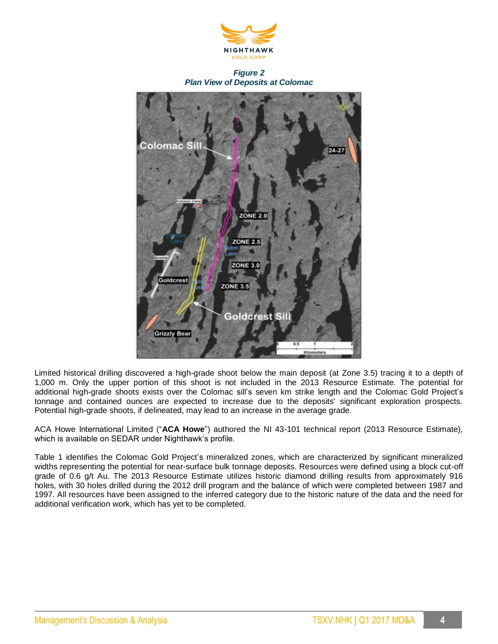

*Figure 2 Plan View of Deposits at Colomac*



Limited historical drilling discovered a high-grade shoot below the main deposit (at Zone 3.5) tracing it to a depth of 1,000 m. Only the upper portion of this shoot is not included in the 2013 Resource Estimate. The potential for additional high-grade shoots exists over the Colomac sill's seven km strike length and the Colomac Gold Project's tonnage and contained ounces are expected to increase due to the deposits' significant exploration prospects. Potential high-grade shoots, if delineated, may lead to an increase in the average grade.

ACA Howe International Limited ("**ACA Howe**") authored the NI 43-101 technical report (2013 Resource Estimate), which is available on SEDAR under Nighthawk's profile.

Table 1 identifies the Colomac Gold Project's mineralized zones, which are characterized by significant mineralized widths representing the potential for near-surface bulk tonnage deposits. Resources were defined using a block cut-off grade of 0.6 g/t Au. The 2013 Resource Estimate utilizes historic diamond drilling results from approximately 916 holes, with 30 holes drilled during the 2012 drill program and the balance of which were completed between 1987 and 1997. All resources have been assigned to the inferred category due to the historic nature of the data and the need for additional verification work, which has yet to be completed.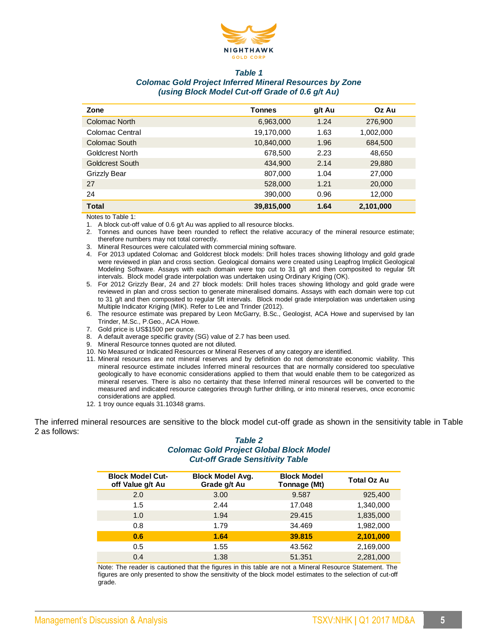

#### *Table 1*

# *Colomac Gold Project Inferred Mineral Resources by Zone (using Block Model Cut-off Grade of 0.6 g/t Au)*

| Zone            | <b>Tonnes</b> | g/t Au | Oz Au     |
|-----------------|---------------|--------|-----------|
| Colomac North   | 6,963,000     | 1.24   | 276,900   |
| Colomac Central | 19,170,000    | 1.63   | 1,002,000 |
| Colomac South   | 10,840,000    | 1.96   | 684,500   |
| Goldcrest North | 678,500       | 2.23   | 48,650    |
| Goldcrest South | 434,900       | 2.14   | 29,880    |
| Grizzly Bear    | 807,000       | 1.04   | 27,000    |
| 27              | 528,000       | 1.21   | 20,000    |
| 24              | 390,000       | 0.96   | 12,000    |
| <b>Total</b>    | 39,815,000    | 1.64   | 2,101,000 |

Notes to Table 1:

1. A block cut-off value of 0.6 g/t Au was applied to all resource blocks.

- 2. Tonnes and ounces have been rounded to reflect the relative accuracy of the mineral resource estimate; therefore numbers may not total correctly.
- 3. Mineral Resources were calculated with commercial mining software.
- 4. For 2013 updated Colomac and Goldcrest block models: Drill holes traces showing lithology and gold grade were reviewed in plan and cross section. Geological domains were created using Leapfrog Implicit Geological Modeling Software. Assays with each domain were top cut to 31 g/t and then composited to regular 5ft intervals. Block model grade interpolation was undertaken using Ordinary Kriging (OK).
- 5. For 2012 Grizzly Bear, 24 and 27 block models: Drill holes traces showing lithology and gold grade were reviewed in plan and cross section to generate mineralised domains. Assays with each domain were top cut to 31 g/t and then composited to regular 5ft intervals. Block model grade interpolation was undertaken using Multiple Indicator Kriging (MIK). Refer to Lee and Trinder (2012).
- 6. The resource estimate was prepared by Leon McGarry, B.Sc., Geologist, ACA Howe and supervised by Ian Trinder, M.Sc., P.Geo., ACA Howe.
- 7. Gold price is US\$1500 per ounce.
- 8. A default average specific gravity (SG) value of 2.7 has been used.
- 9. Mineral Resource tonnes quoted are not diluted.
- 10. No Measured or Indicated Resources or Mineral Reserves of any category are identified.
- 11. Mineral resources are not mineral reserves and by definition do not demonstrate economic viability. This mineral resource estimate includes Inferred mineral resources that are normally considered too speculative geologically to have economic considerations applied to them that would enable them to be categorized as mineral reserves. There is also no certainty that these Inferred mineral resources will be converted to the measured and indicated resource categories through further drilling, or into mineral reserves, once economic considerations are applied.
- 12. 1 troy ounce equals 31.10348 grams.

The inferred mineral resources are sensitive to the block model cut-off grade as shown in the sensitivity table in Table 2 as follows:

## *Table 2 Colomac Gold Project Global Block Model Cut-off Grade Sensitivity Table*

| <b>Block Model Cut-</b><br>off Value g/t Au | <b>Block Model Avg.</b><br>Grade g/t Au | <b>Block Model</b><br>Tonnage (Mt) | Total Oz Au |
|---------------------------------------------|-----------------------------------------|------------------------------------|-------------|
| 2.0                                         | 3.00                                    | 9.587                              | 925,400     |
| 1.5                                         | 2.44                                    | 17.048                             | 1,340,000   |
| 1.0                                         | 1.94                                    | 29.415                             | 1,835,000   |
| 0.8                                         | 1.79                                    | 34.469                             | 1,982,000   |
| 0.6                                         | 1.64                                    | 39.815                             | 2,101,000   |
| 0.5                                         | 1.55                                    | 43.562                             | 2,169,000   |
| 0.4                                         | 1.38                                    | 51.351                             | 2,281,000   |

Note: The reader is cautioned that the figures in this table are not a Mineral Resource Statement. The figures are only presented to show the sensitivity of the block model estimates to the selection of cut-off grade.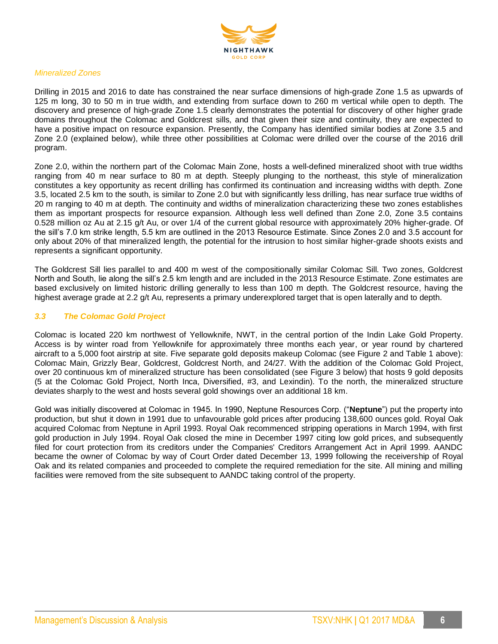

#### *Mineralized Zones*

Drilling in 2015 and 2016 to date has constrained the near surface dimensions of high-grade Zone 1.5 as upwards of 125 m long, 30 to 50 m in true width, and extending from surface down to 260 m vertical while open to depth. The discovery and presence of high-grade Zone 1.5 clearly demonstrates the potential for discovery of other higher grade domains throughout the Colomac and Goldcrest sills, and that given their size and continuity, they are expected to have a positive impact on resource expansion. Presently, the Company has identified similar bodies at Zone 3.5 and Zone 2.0 (explained below), while three other possibilities at Colomac were drilled over the course of the 2016 drill program.

Zone 2.0, within the northern part of the Colomac Main Zone, hosts a well-defined mineralized shoot with true widths ranging from 40 m near surface to 80 m at depth. Steeply plunging to the northeast, this style of mineralization constitutes a key opportunity as recent drilling has confirmed its continuation and increasing widths with depth. Zone 3.5, located 2.5 km to the south, is similar to Zone 2.0 but with significantly less drilling, has near surface true widths of 20 m ranging to 40 m at depth. The continuity and widths of mineralization characterizing these two zones establishes them as important prospects for resource expansion. Although less well defined than Zone 2.0, Zone 3.5 contains 0.528 million oz Au at 2.15 g/t Au, or over 1/4 of the current global resource with approximately 20% higher-grade. Of the sill's 7.0 km strike length, 5.5 km are outlined in the 2013 Resource Estimate. Since Zones 2.0 and 3.5 account for only about 20% of that mineralized length, the potential for the intrusion to host similar higher-grade shoots exists and represents a significant opportunity.

The Goldcrest Sill lies parallel to and 400 m west of the compositionally similar Colomac Sill. Two zones, Goldcrest North and South, lie along the sill's 2.5 km length and are included in the 2013 Resource Estimate. Zone estimates are based exclusively on limited historic drilling generally to less than 100 m depth. The Goldcrest resource, having the highest average grade at 2.2 g/t Au, represents a primary underexplored target that is open laterally and to depth.

# *3.3 The Colomac Gold Project*

Colomac is located 220 km northwest of Yellowknife, NWT, in the central portion of the Indin Lake Gold Property. Access is by winter road from Yellowknife for approximately three months each year, or year round by chartered aircraft to a 5,000 foot airstrip at site. Five separate gold deposits makeup Colomac (see Figure 2 and Table 1 above): Colomac Main, Grizzly Bear, Goldcrest, Goldcrest North, and 24/27. With the addition of the Colomac Gold Project, over 20 continuous km of mineralized structure has been consolidated (see Figure 3 below) that hosts 9 gold deposits (5 at the Colomac Gold Project, North Inca, Diversified, #3, and Lexindin). To the north, the mineralized structure deviates sharply to the west and hosts several gold showings over an additional 18 km.

Gold was initially discovered at Colomac in 1945. In 1990, Neptune Resources Corp. ("**Neptune**") put the property into production, but shut it down in 1991 due to unfavourable gold prices after producing 138,600 ounces gold. Royal Oak acquired Colomac from Neptune in April 1993. Royal Oak recommenced stripping operations in March 1994, with first gold production in July 1994. Royal Oak closed the mine in December 1997 citing low gold prices, and subsequently filed for court protection from its creditors under the Companies' Creditors Arrangement Act in April 1999. AANDC became the owner of Colomac by way of Court Order dated December 13, 1999 following the receivership of Royal Oak and its related companies and proceeded to complete the required remediation for the site. All mining and milling facilities were removed from the site subsequent to AANDC taking control of the property.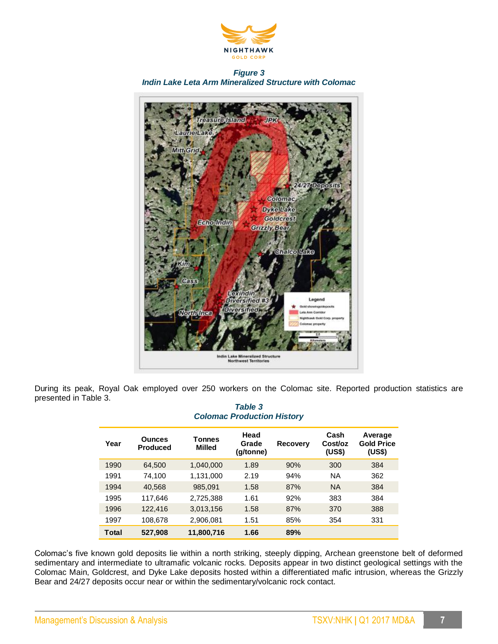

*Figure 3 Indin Lake Leta Arm Mineralized Structure with Colomac*



During its peak, Royal Oak employed over 250 workers on the Colomac site. Reported production statistics are presented in Table 3.

# *Table 3 Colomac Production History*

| Year  | <b>Ounces</b><br><b>Produced</b> | Tonnes<br><b>Milled</b> | Head<br>Grade<br>(q/tonne) | <b>Recovery</b> | Cash<br>Cost/oz<br>(US\$) | Average<br><b>Gold Price</b><br>(US\$) |
|-------|----------------------------------|-------------------------|----------------------------|-----------------|---------------------------|----------------------------------------|
| 1990  | 64,500                           | 1,040,000               | 1.89                       | 90%             | 300                       | 384                                    |
| 1991  | 74.100                           | 1.131.000               | 2.19                       | 94%             | <b>NA</b>                 | 362                                    |
| 1994  | 40,568                           | 985,091                 | 1.58                       | 87%             | <b>NA</b>                 | 384                                    |
| 1995  | 117.646                          | 2,725,388               | 1.61                       | 92%             | 383                       | 384                                    |
| 1996  | 122,416                          | 3,013,156               | 1.58                       | 87%             | 370                       | 388                                    |
| 1997  | 108,678                          | 2,906,081               | 1.51                       | 85%             | 354                       | 331                                    |
| Total | 527,908                          | 11,800,716              | 1.66                       | 89%             |                           |                                        |

Colomac's five known gold deposits lie within a north striking, steeply dipping, Archean greenstone belt of deformed sedimentary and intermediate to ultramafic volcanic rocks. Deposits appear in two distinct geological settings with the Colomac Main, Goldcrest, and Dyke Lake deposits hosted within a differentiated mafic intrusion, whereas the Grizzly Bear and 24/27 deposits occur near or within the sedimentary/volcanic rock contact.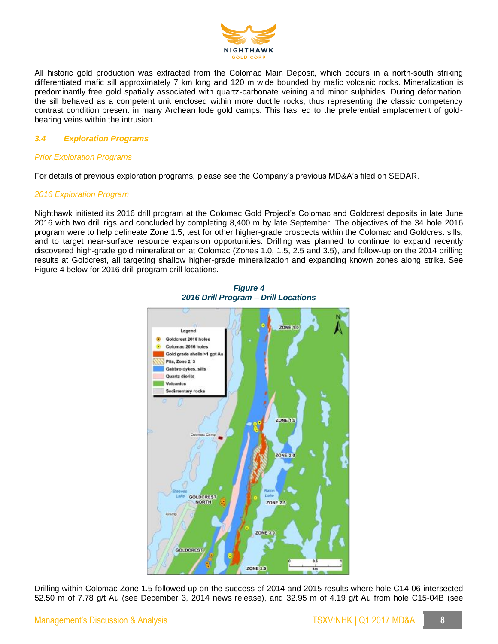

All historic gold production was extracted from the Colomac Main Deposit, which occurs in a north-south striking differentiated mafic sill approximately 7 km long and 120 m wide bounded by mafic volcanic rocks. Mineralization is predominantly free gold spatially associated with quartz-carbonate veining and minor sulphides. During deformation, the sill behaved as a competent unit enclosed within more ductile rocks, thus representing the classic competency contrast condition present in many Archean lode gold camps. This has led to the preferential emplacement of goldbearing veins within the intrusion.

## *3.4 Exploration Programs*

# *Prior Exploration Programs*

For details of previous exploration programs, please see the Company's previous MD&A's filed on SEDAR.

#### *2016 Exploration Program*

Nighthawk initiated its 2016 drill program at the Colomac Gold Project's Colomac and Goldcrest deposits in late June 2016 with two drill rigs and concluded by completing 8,400 m by late September. The objectives of the 34 hole 2016 program were to help delineate Zone 1.5, test for other higher-grade prospects within the Colomac and Goldcrest sills, and to target near-surface resource expansion opportunities. Drilling was planned to continue to expand recently discovered high-grade gold mineralization at Colomac (Zones 1.0, 1.5, 2.5 and 3.5), and follow-up on the 2014 drilling results at Goldcrest, all targeting shallow higher-grade mineralization and expanding known zones along strike. See Figure 4 below for 2016 drill program drill locations.



*Figure 4 2016 Drill Program – Drill Locations*

Drilling within Colomac Zone 1.5 followed-up on the success of 2014 and 2015 results where hole C14-06 intersected 52.50 m of 7.78 g/t Au (see December 3, 2014 news release), and 32.95 m of 4.19 g/t Au from hole C15-04B (see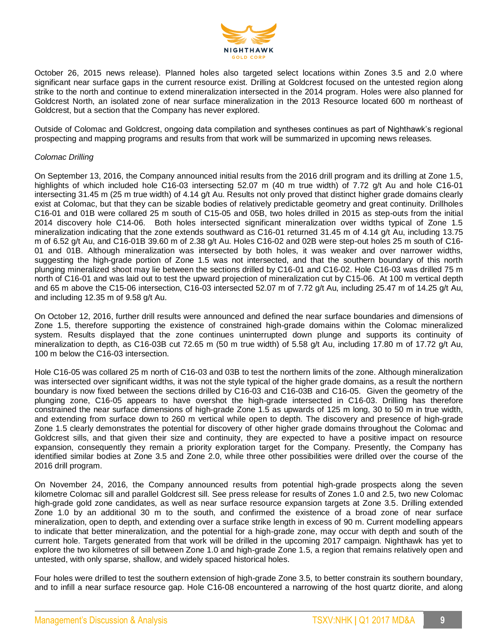

October 26, 2015 news release). Planned holes also targeted select locations within Zones 3.5 and 2.0 where significant near surface gaps in the current resource exist. Drilling at Goldcrest focused on the untested region along strike to the north and continue to extend mineralization intersected in the 2014 program. Holes were also planned for Goldcrest North, an isolated zone of near surface mineralization in the 2013 Resource located 600 m northeast of Goldcrest, but a section that the Company has never explored.

Outside of Colomac and Goldcrest, ongoing data compilation and syntheses continues as part of Nighthawk's regional prospecting and mapping programs and results from that work will be summarized in upcoming news releases.

### *Colomac Drilling*

On September 13, 2016, the Company announced initial results from the 2016 drill program and its drilling at Zone 1.5, highlights of which included hole C16-03 intersecting 52.07 m (40 m true width) of 7.72 g/t Au and hole C16-01 intersecting 31.45 m (25 m true width) of 4.14 g/t Au. Results not only proved that distinct higher grade domains clearly exist at Colomac, but that they can be sizable bodies of relatively predictable geometry and great continuity. Drillholes C16-01 and 01B were collared 25 m south of C15-05 and 05B, two holes drilled in 2015 as step-outs from the initial 2014 discovery hole C14-06. Both holes intersected significant mineralization over widths typical of Zone 1.5 mineralization indicating that the zone extends southward as C16-01 returned 31.45 m of 4.14 g/t Au, including 13.75 m of 6.52 g/t Au, and C16-01B 39.60 m of 2.38 g/t Au. Holes C16-02 and 02B were step-out holes 25 m south of C16- 01 and 01B. Although mineralization was intersected by both holes, it was weaker and over narrower widths, suggesting the high-grade portion of Zone 1.5 was not intersected, and that the southern boundary of this north plunging mineralized shoot may lie between the sections drilled by C16-01 and C16-02. Hole C16-03 was drilled 75 m north of C16-01 and was laid out to test the upward projection of mineralization cut by C15-06. At 100 m vertical depth and 65 m above the C15-06 intersection, C16-03 intersected 52.07 m of 7.72 g/t Au, including 25.47 m of 14.25 g/t Au, and including 12.35 m of 9.58 g/t Au.

On October 12, 2016, further drill results were announced and defined the near surface boundaries and dimensions of Zone 1.5, therefore supporting the existence of constrained high-grade domains within the Colomac mineralized system. Results displayed that the zone continues uninterrupted down plunge and supports its continuity of mineralization to depth, as C16-03B cut 72.65 m (50 m true width) of 5.58 g/t Au, including 17.80 m of 17.72 g/t Au, 100 m below the C16-03 intersection.

Hole C16-05 was collared 25 m north of C16-03 and 03B to test the northern limits of the zone. Although mineralization was intersected over significant widths, it was not the style typical of the higher grade domains, as a result the northern boundary is now fixed between the sections drilled by C16-03 and C16-03B and C16-05. Given the geometry of the plunging zone, C16-05 appears to have overshot the high-grade intersected in C16-03. Drilling has therefore constrained the near surface dimensions of high-grade Zone 1.5 as upwards of 125 m long, 30 to 50 m in true width, and extending from surface down to 260 m vertical while open to depth. The discovery and presence of high-grade Zone 1.5 clearly demonstrates the potential for discovery of other higher grade domains throughout the Colomac and Goldcrest sills, and that given their size and continuity, they are expected to have a positive impact on resource expansion, consequently they remain a priority exploration target for the Company. Presently, the Company has identified similar bodies at Zone 3.5 and Zone 2.0, while three other possibilities were drilled over the course of the 2016 drill program.

On November 24, 2016, the Company announced results from potential high-grade prospects along the seven kilometre Colomac sill and parallel Goldcrest sill. See press release for results of Zones 1.0 and 2.5, two new Colomac high-grade gold zone candidates, as well as near surface resource expansion targets at Zone 3.5. Drilling extended Zone 1.0 by an additional 30 m to the south, and confirmed the existence of a broad zone of near surface mineralization, open to depth, and extending over a surface strike length in excess of 90 m. Current modelling appears to indicate that better mineralization, and the potential for a high-grade zone, may occur with depth and south of the current hole. Targets generated from that work will be drilled in the upcoming 2017 campaign. Nighthawk has yet to explore the two kilometres of sill between Zone 1.0 and high-grade Zone 1.5, a region that remains relatively open and untested, with only sparse, shallow, and widely spaced historical holes.

Four holes were drilled to test the southern extension of high-grade Zone 3.5, to better constrain its southern boundary, and to infill a near surface resource gap. Hole C16-08 encountered a narrowing of the host quartz diorite, and along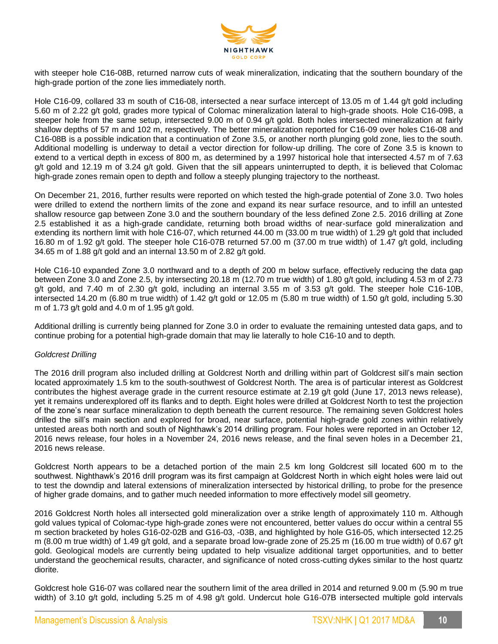

with steeper hole C16-08B, returned narrow cuts of weak mineralization, indicating that the southern boundary of the high-grade portion of the zone lies immediately north.

Hole C16-09, collared 33 m south of C16-08, intersected a near surface intercept of 13.05 m of 1.44 g/t gold including 5.60 m of 2.22 g/t gold, grades more typical of Colomac mineralization lateral to high-grade shoots. Hole C16-09B, a steeper hole from the same setup, intersected 9.00 m of 0.94 g/t gold. Both holes intersected mineralization at fairly shallow depths of 57 m and 102 m, respectively. The better mineralization reported for C16-09 over holes C16-08 and C16-08B is a possible indication that a continuation of Zone 3.5, or another north plunging gold zone, lies to the south. Additional modelling is underway to detail a vector direction for follow-up drilling. The core of Zone 3.5 is known to extend to a vertical depth in excess of 800 m, as determined by a 1997 historical hole that intersected 4.57 m of 7.63 g/t gold and 12.19 m of 3.24 g/t gold. Given that the sill appears uninterrupted to depth, it is believed that Colomac high-grade zones remain open to depth and follow a steeply plunging trajectory to the northeast.

On December 21, 2016, further results were reported on which tested the high-grade potential of Zone 3.0. Two holes were drilled to extend the northern limits of the zone and expand its near surface resource, and to infill an untested shallow resource gap between Zone 3.0 and the southern boundary of the less defined Zone 2.5. 2016 drilling at Zone 2.5 established it as a high-grade candidate, returning both broad widths of near-surface gold mineralization and extending its northern limit with hole C16-07, which returned 44.00 m (33.00 m true width) of 1.29 g/t gold that included 16.80 m of 1.92 g/t gold. The steeper hole C16-07B returned 57.00 m (37.00 m true width) of 1.47 g/t gold, including 34.65 m of 1.88 g/t gold and an internal 13.50 m of 2.82 g/t gold.

Hole C16-10 expanded Zone 3.0 northward and to a depth of 200 m below surface, effectively reducing the data gap between Zone 3.0 and Zone 2.5, by intersecting 20.18 m (12.70 m true width) of 1.80 g/t gold, including 4.53 m of 2.73 g/t gold, and 7.40 m of 2.30 g/t gold, including an internal 3.55 m of 3.53 g/t gold. The steeper hole C16-10B, intersected 14.20 m (6.80 m true width) of 1.42 g/t gold or 12.05 m (5.80 m true width) of 1.50 g/t gold, including 5.30 m of 1.73 g/t gold and 4.0 m of 1.95 g/t gold.

Additional drilling is currently being planned for Zone 3.0 in order to evaluate the remaining untested data gaps, and to continue probing for a potential high-grade domain that may lie laterally to hole C16-10 and to depth.

#### *Goldcrest Drilling*

The 2016 drill program also included drilling at Goldcrest North and drilling within part of Goldcrest sill's main section located approximately 1.5 km to the south-southwest of Goldcrest North. The area is of particular interest as Goldcrest contributes the highest average grade in the current resource estimate at 2.19 g/t gold (June 17, 2013 news release), yet it remains underexplored off its flanks and to depth. Eight holes were drilled at Goldcrest North to test the projection of the zone's near surface mineralization to depth beneath the current resource. The remaining seven Goldcrest holes drilled the sill's main section and explored for broad, near surface, potential high-grade gold zones within relatively untested areas both north and south of Nighthawk's 2014 drilling program. Four holes were reported in an October 12, 2016 news release, four holes in a November 24, 2016 news release, and the final seven holes in a December 21, 2016 news release.

Goldcrest North appears to be a detached portion of the main 2.5 km long Goldcrest sill located 600 m to the southwest. Nighthawk's 2016 drill program was its first campaign at Goldcrest North in which eight holes were laid out to test the downdip and lateral extensions of mineralization intersected by historical drilling, to probe for the presence of higher grade domains, and to gather much needed information to more effectively model sill geometry.

2016 Goldcrest North holes all intersected gold mineralization over a strike length of approximately 110 m. Although gold values typical of Colomac-type high-grade zones were not encountered, better values do occur within a central 55 m section bracketed by holes G16-02-02B and G16-03, -03B, and highlighted by hole G16-05, which intersected 12.25 m (8.00 m true width) of 1.49 g/t gold, and a separate broad low-grade zone of 25.25 m (16.00 m true width) of 0.67 g/t gold. Geological models are currently being updated to help visualize additional target opportunities, and to better understand the geochemical results, character, and significance of noted cross-cutting dykes similar to the host quartz diorite.

Goldcrest hole G16-07 was collared near the southern limit of the area drilled in 2014 and returned 9.00 m (5.90 m true width) of 3.10 g/t gold, including 5.25 m of 4.98 g/t gold. Undercut hole G16-07B intersected multiple gold intervals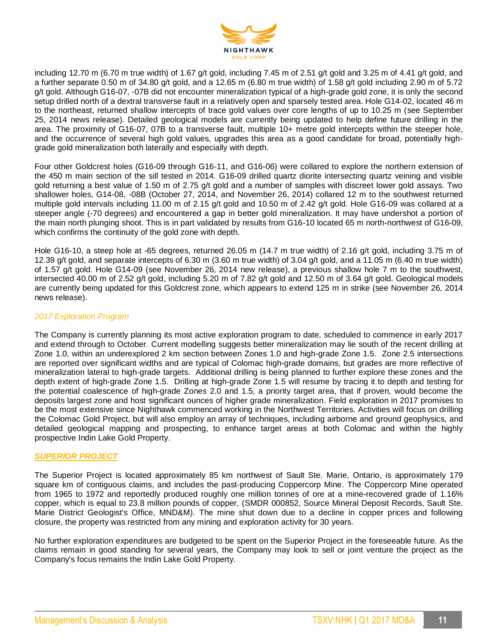

including 12.70 m (6.70 m true width) of 1.67 g/t gold, including 7.45 m of 2.51 g/t gold and 3.25 m of 4.41 g/t gold, and a further separate 0.50 m of 34.80 g/t gold, and a 12.65 m (6.80 m true width) of 1.58 g/t gold including 2.90 m of 5.72 g/t gold. Although G16-07, -07B did not encounter mineralization typical of a high-grade gold zone, it is only the second setup drilled north of a dextral transverse fault in a relatively open and sparsely tested area. Hole G14-02, located 46 m to the northeast, returned shallow intercepts of trace gold values over core lengths of up to 10.25 m (see September 25, 2014 news release). Detailed geological models are currently being updated to help define future drilling in the area. The proximity of G16-07, 07B to a transverse fault, multiple 10+ metre gold intercepts within the steeper hole, and the occurrence of several high gold values, upgrades this area as a good candidate for broad, potentially highgrade gold mineralization both laterally and especially with depth.

Four other Goldcrest holes (G16-09 through G16-11, and G16-06) were collared to explore the northern extension of the 450 m main section of the sill tested in 2014. G16-09 drilled quartz diorite intersecting quartz veining and visible gold returning a best value of 1.50 m of 2.75 g/t gold and a number of samples with discreet lower gold assays. Two shallower holes, G14-08, -08B (October 27, 2014, and November 26, 2014) collared 12 m to the southwest returned multiple gold intervals including 11.00 m of 2.15 g/t gold and 10.50 m of 2.42 g/t gold. Hole G16-09 was collared at a steeper angle (-70 degrees) and encountered a gap in better gold mineralization. It may have undershot a portion of the main north plunging shoot. This is in part validated by results from G16-10 located 65 m north-northwest of G16-09, which confirms the continuity of the gold zone with depth.

Hole G16-10, a steep hole at -65 degrees, returned 26.05 m (14.7 m true width) of 2.16 g/t gold, including 3.75 m of 12.39 g/t gold, and separate intercepts of 6.30 m (3.60 m true width) of 3.04 g/t gold, and a 11.05 m (6.40 m true width) of 1.57 g/t gold. Hole G14-09 (see November 26, 2014 new release), a previous shallow hole 7 m to the southwest, intersected 40.00 m of 2.52 g/t gold, including 5.20 m of 7.82 g/t gold and 12.50 m of 3.64 g/t gold. Geological models are currently being updated for this Goldcrest zone, which appears to extend 125 m in strike (see November 26, 2014 news release).

#### *2017 Exploration Program*

The Company is currently planning its most active exploration program to date, scheduled to commence in early 2017 and extend through to October. Current modelling suggests better mineralization may lie south of the recent drilling at Zone 1.0, within an underexplored 2 km section between Zones 1.0 and high-grade Zone 1.5. Zone 2.5 intersections are reported over significant widths and are typical of Colomac high-grade domains, but grades are more reflective of mineralization lateral to high-grade targets. Additional drilling is being planned to further explore these zones and the depth extent of high-grade Zone 1.5. Drilling at high-grade Zone 1.5 will resume by tracing it to depth and testing for the potential coalescence of high-grade Zones 2.0 and 1.5, a priority target area, that if proven, would become the deposits largest zone and host significant ounces of higher grade mineralization. Field exploration in 2017 promises to be the most extensive since Nighthawk commenced working in the Northwest Territories. Activities will focus on drilling the Colomac Gold Project, but will also employ an array of techniques, including airborne and ground geophysics, and detailed geological mapping and prospecting, to enhance target areas at both Colomac and within the highly prospective Indin Lake Gold Property.

#### *SUPERIOR PROJECT*

The Superior Project is located approximately 85 km northwest of Sault Ste. Marie, Ontario, is approximately 179 square km of contiguous claims, and includes the past-producing Coppercorp Mine. The Coppercorp Mine operated from 1965 to 1972 and reportedly produced roughly one million tonnes of ore at a mine-recovered grade of 1.16% copper, which is equal to 23.8 million pounds of copper, (SMDR 000852, Source Mineral Deposit Records, Sault Ste. Marie District Geologist's Office, MND&M). The mine shut down due to a decline in copper prices and following closure, the property was restricted from any mining and exploration activity for 30 years.

No further exploration expenditures are budgeted to be spent on the Superior Project in the foreseeable future. As the claims remain in good standing for several years, the Company may look to sell or joint venture the project as the Company's focus remains the Indin Lake Gold Property.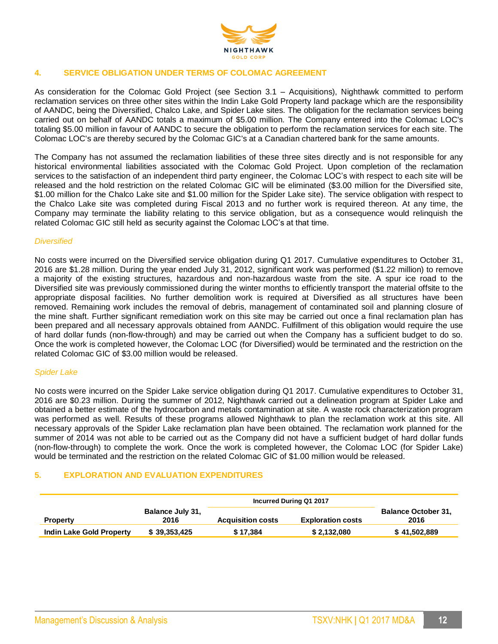

# **4. SERVICE OBLIGATION UNDER TERMS OF COLOMAC AGREEMENT**

As consideration for the Colomac Gold Project (see Section 3.1 – Acquisitions), Nighthawk committed to perform reclamation services on three other sites within the Indin Lake Gold Property land package which are the responsibility of AANDC, being the Diversified, Chalco Lake, and Spider Lake sites. The obligation for the reclamation services being carried out on behalf of AANDC totals a maximum of \$5.00 million. The Company entered into the Colomac LOC's totaling \$5.00 million in favour of AANDC to secure the obligation to perform the reclamation services for each site. The Colomac LOC's are thereby secured by the Colomac GIC's at a Canadian chartered bank for the same amounts.

The Company has not assumed the reclamation liabilities of these three sites directly and is not responsible for any historical environmental liabilities associated with the Colomac Gold Project. Upon completion of the reclamation services to the satisfaction of an independent third party engineer, the Colomac LOC's with respect to each site will be released and the hold restriction on the related Colomac GIC will be eliminated (\$3.00 million for the Diversified site, \$1.00 million for the Chalco Lake site and \$1.00 million for the Spider Lake site). The service obligation with respect to the Chalco Lake site was completed during Fiscal 2013 and no further work is required thereon. At any time, the Company may terminate the liability relating to this service obligation, but as a consequence would relinquish the related Colomac GIC still held as security against the Colomac LOC's at that time.

#### *Diversified*

No costs were incurred on the Diversified service obligation during Q1 2017. Cumulative expenditures to October 31, 2016 are \$1.28 million. During the year ended July 31, 2012, significant work was performed (\$1.22 million) to remove a majority of the existing structures, hazardous and non-hazardous waste from the site. A spur ice road to the Diversified site was previously commissioned during the winter months to efficiently transport the material offsite to the appropriate disposal facilities. No further demolition work is required at Diversified as all structures have been removed. Remaining work includes the removal of debris, management of contaminated soil and planning closure of the mine shaft. Further significant remediation work on this site may be carried out once a final reclamation plan has been prepared and all necessary approvals obtained from AANDC. Fulfillment of this obligation would require the use of hard dollar funds (non-flow-through) and may be carried out when the Company has a sufficient budget to do so. Once the work is completed however, the Colomac LOC (for Diversified) would be terminated and the restriction on the related Colomac GIC of \$3.00 million would be released.

#### *Spider Lake*

No costs were incurred on the Spider Lake service obligation during Q1 2017. Cumulative expenditures to October 31, 2016 are \$0.23 million. During the summer of 2012, Nighthawk carried out a delineation program at Spider Lake and obtained a better estimate of the hydrocarbon and metals contamination at site. A waste rock characterization program was performed as well. Results of these programs allowed Nighthawk to plan the reclamation work at this site. All necessary approvals of the Spider Lake reclamation plan have been obtained. The reclamation work planned for the summer of 2014 was not able to be carried out as the Company did not have a sufficient budget of hard dollar funds (non-flow-through) to complete the work. Once the work is completed however, the Colomac LOC (for Spider Lake) would be terminated and the restriction on the related Colomac GIC of \$1.00 million would be released.

#### **5. EXPLORATION AND EVALUATION EXPENDITURES**

|                                 |                                 | Incurred During Q1 2017  |                          |                                    |
|---------------------------------|---------------------------------|--------------------------|--------------------------|------------------------------------|
| <b>Property</b>                 | <b>Balance July 31,</b><br>2016 | <b>Acquisition costs</b> | <b>Exploration costs</b> | <b>Balance October 31,</b><br>2016 |
| <b>Indin Lake Gold Property</b> | \$39,353,425                    | \$17.384                 | \$2,132,080              | \$41,502,889                       |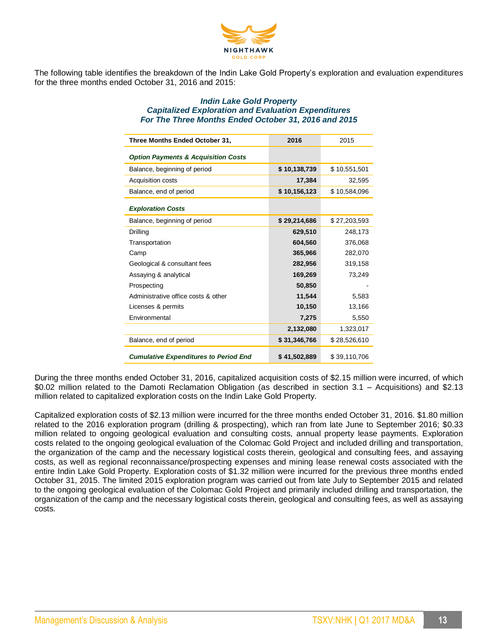

The following table identifies the breakdown of the Indin Lake Gold Property's exploration and evaluation expenditures for the three months ended October 31, 2016 and 2015:

#### *Indin Lake Gold Property Capitalized Exploration and Evaluation Expenditures For The Three Months Ended October 31, 2016 and 2015*

| Three Months Ended October 31,                 | 2016         | 2015         |
|------------------------------------------------|--------------|--------------|
| <b>Option Payments &amp; Acquisition Costs</b> |              |              |
| Balance, beginning of period                   | \$10,138,739 | \$10,551,501 |
| Acquisition costs                              | 17,384       | 32,595       |
| Balance, end of period                         | \$10,156,123 | \$10,584,096 |
| <b>Exploration Costs</b>                       |              |              |
| Balance, beginning of period                   | \$29,214,686 | \$27,203,593 |
| Drilling                                       | 629,510      | 248,173      |
| Transportation                                 | 604,560      | 376,068      |
| Camp                                           | 365,966      | 282,070      |
| Geological & consultant fees                   | 282,956      | 319,158      |
| Assaying & analytical                          | 169,269      | 73,249       |
| Prospecting                                    | 50,850       |              |
| Administrative office costs & other            | 11,544       | 5,583        |
| Licenses & permits                             | 10,150       | 13,166       |
| Environmental                                  | 7,275        | 5,550        |
|                                                | 2,132,080    | 1,323,017    |
| Balance, end of period                         | \$31,346,766 | \$28,526,610 |
| <b>Cumulative Expenditures to Period End</b>   | \$41,502,889 | \$39,110,706 |

During the three months ended October 31, 2016, capitalized acquisition costs of \$2.15 million were incurred, of which \$0.02 million related to the Damoti Reclamation Obligation (as described in section 3.1 – Acquisitions) and \$2.13 million related to capitalized exploration costs on the Indin Lake Gold Property.

Capitalized exploration costs of \$2.13 million were incurred for the three months ended October 31, 2016. \$1.80 million related to the 2016 exploration program (drilling & prospecting), which ran from late June to September 2016; \$0.33 million related to ongoing geological evaluation and consulting costs, annual property lease payments. Exploration costs related to the ongoing geological evaluation of the Colomac Gold Project and included drilling and transportation, the organization of the camp and the necessary logistical costs therein, geological and consulting fees, and assaying costs, as well as regional reconnaissance/prospecting expenses and mining lease renewal costs associated with the entire Indin Lake Gold Property. Exploration costs of \$1.32 million were incurred for the previous three months ended October 31, 2015. The limited 2015 exploration program was carried out from late July to September 2015 and related to the ongoing geological evaluation of the Colomac Gold Project and primarily included drilling and transportation, the organization of the camp and the necessary logistical costs therein, geological and consulting fees, as well as assaying costs.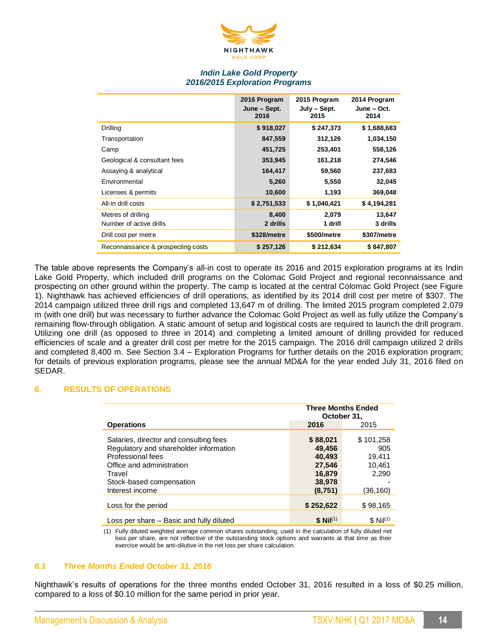

## *Indin Lake Gold Property 2016/2015 Exploration Programs*

|                                    | 2016 Program<br>June – Sept.<br>2016 | 2015 Program<br>$July - Sept.$<br>2015 | 2014 Program<br>June – Oct.<br>2014 |
|------------------------------------|--------------------------------------|----------------------------------------|-------------------------------------|
| Drilling                           | \$918,027                            | \$247,373                              | \$1,688,683                         |
| Transportation                     | 847,559                              | 312,126                                | 1,034,150                           |
| Camp                               | 451,725                              | 253,401                                | 558,126                             |
| Geological & consultant fees       | 353,945                              | 161,218                                | 274,546                             |
| Assaying & analytical              | 164,417                              | 59,560                                 | 237,683                             |
| Environmental                      | 5,260                                | 5,550                                  | 32,045                              |
| Licenses & permits                 | 10,600                               | 1,193                                  | 369,048                             |
| All-in drill costs                 | \$2,751,533                          | \$1,040,421                            | \$4,194,281                         |
| Metres of drilling                 | 8,400                                | 2,079                                  | 13,647                              |
| Number of active drills            | 2 drills                             | 1 drill                                | 3 drills                            |
| Drill cost per metre               | \$328/metre                          | \$500/metre                            | \$307/metre                         |
| Reconnaissance & prospecting costs | \$257,126                            | \$212,634                              | \$847.807                           |

The table above represents the Company's all-in cost to operate its 2016 and 2015 exploration programs at its Indin Lake Gold Property, which included drill programs on the Colomac Gold Project and regional reconnaissance and prospecting on other ground within the property. The camp is located at the central Colomac Gold Project (see Figure 1). Nighthawk has achieved efficiencies of drill operations, as identified by its 2014 drill cost per metre of \$307. The 2014 campaign utilized three drill rigs and completed 13,647 m of drilling. The limited 2015 program completed 2,079 m (with one drill) but was necessary to further advance the Colomac Gold Project as well as fully utilize the Company's remaining flow-through obligation. A static amount of setup and logistical costs are required to launch the drill program. Utilizing one drill (as opposed to three in 2014) and completing a limited amount of drilling provided for reduced efficiencies of scale and a greater drill cost per metre for the 2015 campaign. The 2016 drill campaign utilized 2 drills and completed 8,400 m. See Section 3.4 – Exploration Programs for further details on the 2016 exploration program; for details of previous exploration programs, please see the annual MD&A for the year ended July 31, 2016 filed on SEDAR.

#### **6. RESULTS OF OPERATIONS**

|                                                                                                                                                                                             | <b>Three Months Ended</b><br>October 31.                              |                                                           |
|---------------------------------------------------------------------------------------------------------------------------------------------------------------------------------------------|-----------------------------------------------------------------------|-----------------------------------------------------------|
| <b>Operations</b>                                                                                                                                                                           | 2016                                                                  | 2015                                                      |
| Salaries, director and consulting fees<br>Regulatory and shareholder information<br>Professional fees<br>Office and administration<br>Travel<br>Stock-based compensation<br>Interest income | \$88,021<br>49.456<br>40,493<br>27,546<br>16,879<br>38,978<br>(8,751) | \$101,258<br>905<br>19,411<br>10,461<br>2,290<br>(36,160) |
| Loss for the period                                                                                                                                                                         | \$252,622                                                             | \$98,165                                                  |
| Loss per share – Basic and fully diluted                                                                                                                                                    | $$ Nil^{(1)}$$                                                        | \$ Nil <sup>(1)</sup>                                     |

(1) Fully diluted weighted average common shares outstanding, used in the calculation of fully diluted net loss per share, are not reflective of the outstanding stock options and warrants at that time as their exercise would be anti-dilutive in the net loss per share calculation.

#### *6.1 Three Months Ended October 31, 2016*

Nighthawk's results of operations for the three months ended October 31, 2016 resulted in a loss of \$0.25 million, compared to a loss of \$0.10 million for the same period in prior year.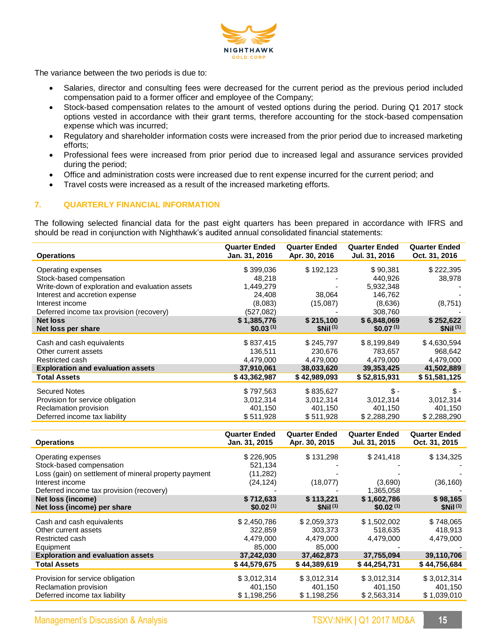

The variance between the two periods is due to:

- Salaries, director and consulting fees were decreased for the current period as the previous period included compensation paid to a former officer and employee of the Company;
- Stock-based compensation relates to the amount of vested options during the period. During Q1 2017 stock options vested in accordance with their grant terms, therefore accounting for the stock-based compensation expense which was incurred;
- Regulatory and shareholder information costs were increased from the prior period due to increased marketing efforts;
- Professional fees were increased from prior period due to increased legal and assurance services provided during the period;
- Office and administration costs were increased due to rent expense incurred for the current period; and
- Travel costs were increased as a result of the increased marketing efforts.

# **7. QUARTERLY FINANCIAL INFORMATION**

The following selected financial data for the past eight quarters has been prepared in accordance with IFRS and should be read in conjunction with Nighthawk's audited annual consolidated financial statements:

| <b>Operations</b>                               | <b>Quarter Ended</b><br>Jan. 31, 2016 | <b>Quarter Ended</b><br>Apr. 30, 2016 | <b>Quarter Ended</b><br>Jul. 31, 2016 | <b>Quarter Ended</b><br>Oct. 31, 2016 |
|-------------------------------------------------|---------------------------------------|---------------------------------------|---------------------------------------|---------------------------------------|
| Operating expenses                              | \$399,036                             | \$192,123                             | \$90,381                              | \$222,395                             |
| Stock-based compensation                        | 48,218                                |                                       | 440,926                               | 38,978                                |
| Write-down of exploration and evaluation assets | 1,449,279                             |                                       | 5,932,348                             |                                       |
| Interest and accretion expense                  | 24,408                                | 38,064                                | 146,762                               |                                       |
| Interest income                                 | (8,083)                               | (15,087)                              | (8,636)                               | (8,751)                               |
| Deferred income tax provision (recovery)        | (527,082)                             |                                       | 308.760                               |                                       |
| <b>Net loss</b>                                 | \$1,385,776                           | \$215,100                             | \$6,848,069                           | \$252,622                             |
| Net loss per share                              | \$0.03 <sup>(1)</sup>                 | \$Nii <sup>(1)</sup>                  | \$0.07 <sup>(1)</sup>                 | \$Nii <sup>(1)</sup>                  |
| Cash and cash equivalents                       | \$837,415                             | \$245,797                             | \$8,199,849                           | \$4,630,594                           |
| Other current assets                            | 136,511                               | 230,676                               | 783,657                               | 968,642                               |
| Restricted cash                                 | 4,479,000                             | 4,479,000                             | 4,479,000                             | 4,479,000                             |
| <b>Exploration and evaluation assets</b>        | 37,910,061                            | 38,033,620                            | 39,353,425                            | 41,502,889                            |
| <b>Total Assets</b>                             | \$43,362,987                          | \$42,989,093                          | \$52,815,931                          | \$51,581,125                          |
| Secured Notes                                   | \$797,563                             | \$835,627                             | \$-                                   | \$ -                                  |
| Provision for service obligation                | 3,012,314                             | 3,012,314                             | 3,012,314                             | 3,012,314                             |
| Reclamation provision                           | 401,150                               | 401,150                               | 401,150                               | 401,150                               |
| Deferred income tax liability                   | \$511,928                             | \$511,928                             | \$2,288,290                           | \$2,288,290                           |
|                                                 |                                       |                                       |                                       |                                       |

| <b>Operations</b>                                     | <b>Quarter Ended</b><br>Jan. 31, 2015 | <b>Quarter Ended</b><br>Apr. 30, 2015 | <b>Quarter Ended</b><br>Jul. 31, 2015 | <b>Quarter Ended</b><br>Oct. 31, 2015 |
|-------------------------------------------------------|---------------------------------------|---------------------------------------|---------------------------------------|---------------------------------------|
| Operating expenses                                    | \$226,905                             | \$131,298                             | \$241,418                             | \$134,325                             |
| Stock-based compensation                              | 521,134                               |                                       |                                       |                                       |
| Loss (gain) on settlement of mineral property payment | (11,282)                              |                                       |                                       |                                       |
| Interest income                                       | (24, 124)                             | (18,077)                              | (3,690)                               | (36, 160)                             |
| Deferred income tax provision (recovery)              |                                       |                                       | 1,365,058                             |                                       |
| Net loss (income)                                     | \$712,633                             | \$113.221                             | \$1,602,786                           | \$98,165                              |
| Net loss (income) per share                           | \$0.02 <sup>(1)</sup>                 | $$Nii^{(1)}$                          | \$0.02 <sup>(1)</sup>                 | \$Nil <sup>(1)</sup>                  |
| Cash and cash equivalents                             | \$2,450,786                           | \$2,059,373                           | \$1,502,002                           | \$748,065                             |
| Other current assets                                  | 322,859                               | 303,373                               | 518,635                               | 418,913                               |
| Restricted cash                                       | 4,479,000                             | 4,479,000                             | 4,479,000                             | 4,479,000                             |
| Equipment                                             | 85,000                                | 85,000                                |                                       |                                       |
| <b>Exploration and evaluation assets</b>              | 37,242,030                            | 37,462,873                            | 37,755,094                            | 39,110,706                            |
| <b>Total Assets</b>                                   | \$44,579,675                          | \$44,389,619                          | \$44,254,731                          | \$44,756,684                          |
| Provision for service obligation                      | \$3,012,314                           | \$3,012,314                           | \$3,012,314                           | \$3,012,314                           |
| Reclamation provision                                 | 401,150                               | 401,150                               | 401,150                               | 401,150                               |
| Deferred income tax liability                         | \$1,198,256                           | \$1,198,256                           | \$2,563,314                           | \$1,039,010                           |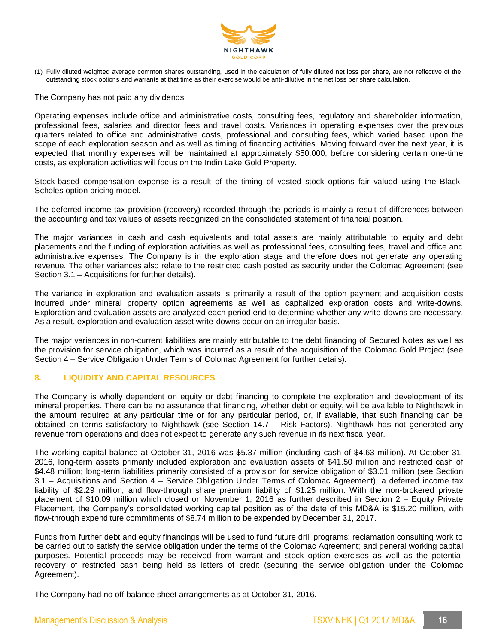

(1) Fully diluted weighted average common shares outstanding, used in the calculation of fully diluted net loss per share, are not reflective of the outstanding stock options and warrants at that time as their exercise would be anti-dilutive in the net loss per share calculation.

The Company has not paid any dividends.

Operating expenses include office and administrative costs, consulting fees, regulatory and shareholder information, professional fees, salaries and director fees and travel costs. Variances in operating expenses over the previous quarters related to office and administrative costs, professional and consulting fees, which varied based upon the scope of each exploration season and as well as timing of financing activities. Moving forward over the next year, it is expected that monthly expenses will be maintained at approximately \$50,000, before considering certain one-time costs, as exploration activities will focus on the Indin Lake Gold Property.

Stock-based compensation expense is a result of the timing of vested stock options fair valued using the Black-Scholes option pricing model.

The deferred income tax provision (recovery) recorded through the periods is mainly a result of differences between the accounting and tax values of assets recognized on the consolidated statement of financial position.

The major variances in cash and cash equivalents and total assets are mainly attributable to equity and debt placements and the funding of exploration activities as well as professional fees, consulting fees, travel and office and administrative expenses. The Company is in the exploration stage and therefore does not generate any operating revenue. The other variances also relate to the restricted cash posted as security under the Colomac Agreement (see Section 3.1 – Acquisitions for further details).

The variance in exploration and evaluation assets is primarily a result of the option payment and acquisition costs incurred under mineral property option agreements as well as capitalized exploration costs and write-downs. Exploration and evaluation assets are analyzed each period end to determine whether any write-downs are necessary. As a result, exploration and evaluation asset write-downs occur on an irregular basis.

The major variances in non-current liabilities are mainly attributable to the debt financing of Secured Notes as well as the provision for service obligation, which was incurred as a result of the acquisition of the Colomac Gold Project (see Section 4 – Service Obligation Under Terms of Colomac Agreement for further details).

#### **8. LIQUIDITY AND CAPITAL RESOURCES**

The Company is wholly dependent on equity or debt financing to complete the exploration and development of its mineral properties. There can be no assurance that financing, whether debt or equity, will be available to Nighthawk in the amount required at any particular time or for any particular period, or, if available, that such financing can be obtained on terms satisfactory to Nighthawk (see Section 14.7 – Risk Factors). Nighthawk has not generated any revenue from operations and does not expect to generate any such revenue in its next fiscal year.

The working capital balance at October 31, 2016 was \$5.37 million (including cash of \$4.63 million). At October 31, 2016, long-term assets primarily included exploration and evaluation assets of \$41.50 million and restricted cash of \$4.48 million; long-term liabilities primarily consisted of a provision for service obligation of \$3.01 million (see Section 3.1 – Acquisitions and Section 4 – Service Obligation Under Terms of Colomac Agreement), a deferred income tax liability of \$2.29 million, and flow-through share premium liability of \$1.25 million. With the non-brokered private placement of \$10.09 million which closed on November 1, 2016 as further described in Section 2 – Equity Private Placement, the Company's consolidated working capital position as of the date of this MD&A is \$15.20 million, with flow-through expenditure commitments of \$8.74 million to be expended by December 31, 2017.

Funds from further debt and equity financings will be used to fund future drill programs; reclamation consulting work to be carried out to satisfy the service obligation under the terms of the Colomac Agreement; and general working capital purposes. Potential proceeds may be received from warrant and stock option exercises as well as the potential recovery of restricted cash being held as letters of credit (securing the service obligation under the Colomac Agreement).

The Company had no off balance sheet arrangements as at October 31, 2016.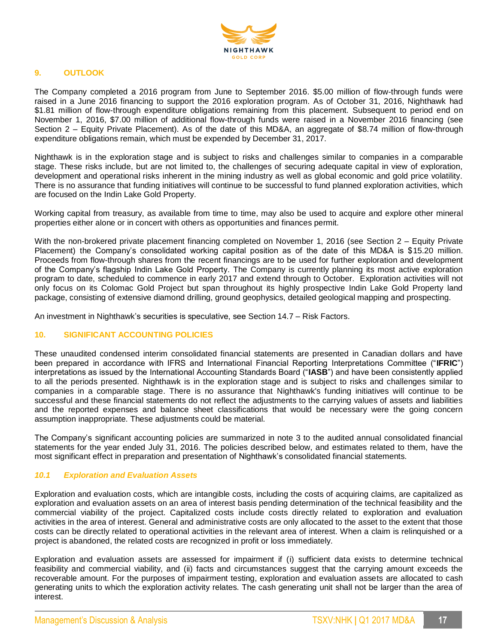

# **9. OUTLOOK**

The Company completed a 2016 program from June to September 2016. \$5.00 million of flow-through funds were raised in a June 2016 financing to support the 2016 exploration program. As of October 31, 2016, Nighthawk had \$1.81 million of flow-through expenditure obligations remaining from this placement. Subsequent to period end on November 1, 2016, \$7.00 million of additional flow-through funds were raised in a November 2016 financing (see Section 2 – Equity Private Placement). As of the date of this MD&A, an aggregate of \$8.74 million of flow-through expenditure obligations remain, which must be expended by December 31, 2017.

Nighthawk is in the exploration stage and is subject to risks and challenges similar to companies in a comparable stage. These risks include, but are not limited to, the challenges of securing adequate capital in view of exploration, development and operational risks inherent in the mining industry as well as global economic and gold price volatility. There is no assurance that funding initiatives will continue to be successful to fund planned exploration activities, which are focused on the Indin Lake Gold Property.

Working capital from treasury, as available from time to time, may also be used to acquire and explore other mineral properties either alone or in concert with others as opportunities and finances permit.

With the non-brokered private placement financing completed on November 1, 2016 (see Section 2 – Equity Private Placement) the Company's consolidated working capital position as of the date of this MD&A is \$15.20 million. Proceeds from flow-through shares from the recent financings are to be used for further exploration and development of the Company's flagship Indin Lake Gold Property. The Company is currently planning its most active exploration program to date, scheduled to commence in early 2017 and extend through to October. Exploration activities will not only focus on its Colomac Gold Project but span throughout its highly prospective Indin Lake Gold Property land package, consisting of extensive diamond drilling, ground geophysics, detailed geological mapping and prospecting.

An investment in Nighthawk's securities is speculative, see Section 14.7 – Risk Factors.

#### **10. SIGNIFICANT ACCOUNTING POLICIES**

These unaudited condensed interim consolidated financial statements are presented in Canadian dollars and have been prepared in accordance with IFRS and International Financial Reporting Interpretations Committee ("**IFRIC**") interpretations as issued by the International Accounting Standards Board ("**IASB**") and have been consistently applied to all the periods presented. Nighthawk is in the exploration stage and is subject to risks and challenges similar to companies in a comparable stage. There is no assurance that Nighthawk's funding initiatives will continue to be successful and these financial statements do not reflect the adjustments to the carrying values of assets and liabilities and the reported expenses and balance sheet classifications that would be necessary were the going concern assumption inappropriate. These adjustments could be material.

The Company's significant accounting policies are summarized in note 3 to the audited annual consolidated financial statements for the year ended July 31, 2016. The policies described below, and estimates related to them, have the most significant effect in preparation and presentation of Nighthawk's consolidated financial statements.

#### *10.1 Exploration and Evaluation Assets*

Exploration and evaluation costs, which are intangible costs, including the costs of acquiring claims, are capitalized as exploration and evaluation assets on an area of interest basis pending determination of the technical feasibility and the commercial viability of the project. Capitalized costs include costs directly related to exploration and evaluation activities in the area of interest. General and administrative costs are only allocated to the asset to the extent that those costs can be directly related to operational activities in the relevant area of interest. When a claim is relinquished or a project is abandoned, the related costs are recognized in profit or loss immediately.

Exploration and evaluation assets are assessed for impairment if (i) sufficient data exists to determine technical feasibility and commercial viability, and (ii) facts and circumstances suggest that the carrying amount exceeds the recoverable amount. For the purposes of impairment testing, exploration and evaluation assets are allocated to cash generating units to which the exploration activity relates. The cash generating unit shall not be larger than the area of interest.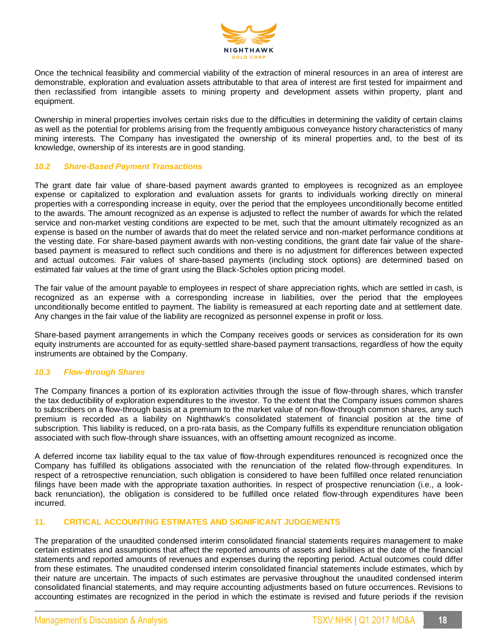

Once the technical feasibility and commercial viability of the extraction of mineral resources in an area of interest are demonstrable, exploration and evaluation assets attributable to that area of interest are first tested for impairment and then reclassified from intangible assets to mining property and development assets within property, plant and equipment.

Ownership in mineral properties involves certain risks due to the difficulties in determining the validity of certain claims as well as the potential for problems arising from the frequently ambiguous conveyance history characteristics of many mining interests. The Company has investigated the ownership of its mineral properties and, to the best of its knowledge, ownership of its interests are in good standing.

#### *10.2 Share-Based Payment Transactions*

The grant date fair value of share-based payment awards granted to employees is recognized as an employee expense or capitalized to exploration and evaluation assets for grants to individuals working directly on mineral properties with a corresponding increase in equity, over the period that the employees unconditionally become entitled to the awards. The amount recognized as an expense is adjusted to reflect the number of awards for which the related service and non-market vesting conditions are expected to be met, such that the amount ultimately recognized as an expense is based on the number of awards that do meet the related service and non-market performance conditions at the vesting date. For share-based payment awards with non-vesting conditions, the grant date fair value of the sharebased payment is measured to reflect such conditions and there is no adjustment for differences between expected and actual outcomes. Fair values of share-based payments (including stock options) are determined based on estimated fair values at the time of grant using the Black-Scholes option pricing model.

The fair value of the amount payable to employees in respect of share appreciation rights, which are settled in cash, is recognized as an expense with a corresponding increase in liabilities, over the period that the employees unconditionally become entitled to payment. The liability is remeasured at each reporting date and at settlement date. Any changes in the fair value of the liability are recognized as personnel expense in profit or loss.

Share-based payment arrangements in which the Company receives goods or services as consideration for its own equity instruments are accounted for as equity-settled share-based payment transactions, regardless of how the equity instruments are obtained by the Company.

#### *10.3 Flow-through Shares*

The Company finances a portion of its exploration activities through the issue of flow-through shares, which transfer the tax deductibility of exploration expenditures to the investor. To the extent that the Company issues common shares to subscribers on a flow-through basis at a premium to the market value of non-flow-through common shares, any such premium is recorded as a liability on Nighthawk's consolidated statement of financial position at the time of subscription. This liability is reduced, on a pro-rata basis, as the Company fulfills its expenditure renunciation obligation associated with such flow-through share issuances, with an offsetting amount recognized as income.

A deferred income tax liability equal to the tax value of flow-through expenditures renounced is recognized once the Company has fulfilled its obligations associated with the renunciation of the related flow-through expenditures. In respect of a retrospective renunciation, such obligation is considered to have been fulfilled once related renunciation filings have been made with the appropriate taxation authorities. In respect of prospective renunciation (i.e., a lookback renunciation), the obligation is considered to be fulfilled once related flow-through expenditures have been incurred.

#### **11. CRITICAL ACCOUNTING ESTIMATES AND SIGNIFICANT JUDGEMENTS**

The preparation of the unaudited condensed interim consolidated financial statements requires management to make certain estimates and assumptions that affect the reported amounts of assets and liabilities at the date of the financial statements and reported amounts of revenues and expenses during the reporting period. Actual outcomes could differ from these estimates. The unaudited condensed interim consolidated financial statements include estimates, which by their nature are uncertain. The impacts of such estimates are pervasive throughout the unaudited condensed interim consolidated financial statements, and may require accounting adjustments based on future occurrences. Revisions to accounting estimates are recognized in the period in which the estimate is revised and future periods if the revision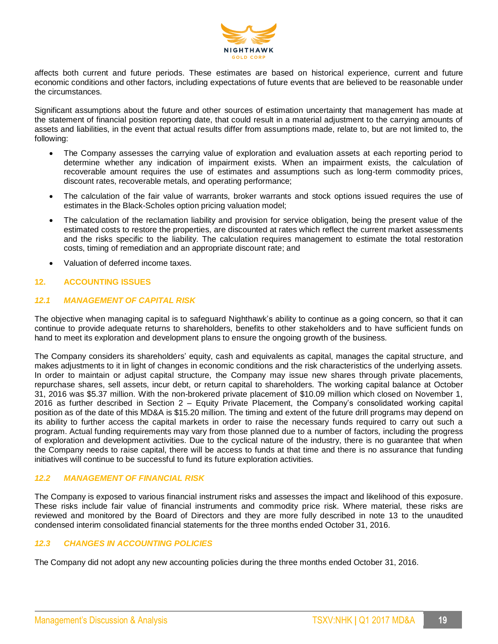

affects both current and future periods. These estimates are based on historical experience, current and future economic conditions and other factors, including expectations of future events that are believed to be reasonable under the circumstances.

Significant assumptions about the future and other sources of estimation uncertainty that management has made at the statement of financial position reporting date, that could result in a material adjustment to the carrying amounts of assets and liabilities, in the event that actual results differ from assumptions made, relate to, but are not limited to, the following:

- The Company assesses the carrying value of exploration and evaluation assets at each reporting period to determine whether any indication of impairment exists. When an impairment exists, the calculation of recoverable amount requires the use of estimates and assumptions such as long-term commodity prices, discount rates, recoverable metals, and operating performance;
- The calculation of the fair value of warrants, broker warrants and stock options issued requires the use of estimates in the Black-Scholes option pricing valuation model;
- The calculation of the reclamation liability and provision for service obligation, being the present value of the estimated costs to restore the properties, are discounted at rates which reflect the current market assessments and the risks specific to the liability. The calculation requires management to estimate the total restoration costs, timing of remediation and an appropriate discount rate; and
- Valuation of deferred income taxes.

# **12. ACCOUNTING ISSUES**

# *12.1 MANAGEMENT OF CAPITAL RISK*

The objective when managing capital is to safeguard Nighthawk's ability to continue as a going concern, so that it can continue to provide adequate returns to shareholders, benefits to other stakeholders and to have sufficient funds on hand to meet its exploration and development plans to ensure the ongoing growth of the business.

The Company considers its shareholders' equity, cash and equivalents as capital, manages the capital structure, and makes adjustments to it in light of changes in economic conditions and the risk characteristics of the underlying assets. In order to maintain or adjust capital structure, the Company may issue new shares through private placements, repurchase shares, sell assets, incur debt, or return capital to shareholders. The working capital balance at October 31, 2016 was \$5.37 million. With the non-brokered private placement of \$10.09 million which closed on November 1, 2016 as further described in Section 2 – Equity Private Placement, the Company's consolidated working capital position as of the date of this MD&A is \$15.20 million. The timing and extent of the future drill programs may depend on its ability to further access the capital markets in order to raise the necessary funds required to carry out such a program. Actual funding requirements may vary from those planned due to a number of factors, including the progress of exploration and development activities. Due to the cyclical nature of the industry, there is no guarantee that when the Company needs to raise capital, there will be access to funds at that time and there is no assurance that funding initiatives will continue to be successful to fund its future exploration activities.

#### *12.2 MANAGEMENT OF FINANCIAL RISK*

The Company is exposed to various financial instrument risks and assesses the impact and likelihood of this exposure. These risks include fair value of financial instruments and commodity price risk. Where material, these risks are reviewed and monitored by the Board of Directors and they are more fully described in note 13 to the unaudited condensed interim consolidated financial statements for the three months ended October 31, 2016.

#### *12.3 CHANGES IN ACCOUNTING POLICIES*

The Company did not adopt any new accounting policies during the three months ended October 31, 2016.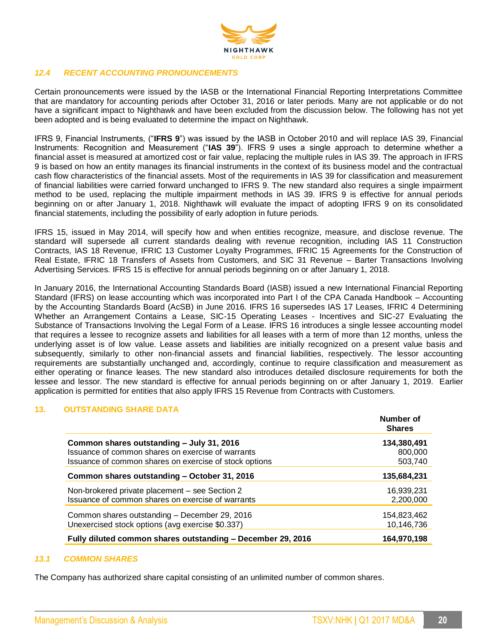

# *12.4 RECENT ACCOUNTING PRONOUNCEMENTS*

Certain pronouncements were issued by the IASB or the International Financial Reporting Interpretations Committee that are mandatory for accounting periods after October 31, 2016 or later periods. Many are not applicable or do not have a significant impact to Nighthawk and have been excluded from the discussion below. The following has not yet been adopted and is being evaluated to determine the impact on Nighthawk.

IFRS 9, Financial Instruments, ("**IFRS 9**") was issued by the IASB in October 2010 and will replace IAS 39, Financial Instruments: Recognition and Measurement ("**IAS 39**"). IFRS 9 uses a single approach to determine whether a financial asset is measured at amortized cost or fair value, replacing the multiple rules in IAS 39. The approach in IFRS 9 is based on how an entity manages its financial instruments in the context of its business model and the contractual cash flow characteristics of the financial assets. Most of the requirements in IAS 39 for classification and measurement of financial liabilities were carried forward unchanged to IFRS 9. The new standard also requires a single impairment method to be used, replacing the multiple impairment methods in IAS 39. IFRS 9 is effective for annual periods beginning on or after January 1, 2018. Nighthawk will evaluate the impact of adopting IFRS 9 on its consolidated financial statements, including the possibility of early adoption in future periods.

IFRS 15, issued in May 2014, will specify how and when entities recognize, measure, and disclose revenue. The standard will supersede all current standards dealing with revenue recognition, including IAS 11 Construction Contracts, IAS 18 Revenue, IFRIC 13 Customer Loyalty Programmes, IFRIC 15 Agreements for the Construction of Real Estate, IFRIC 18 Transfers of Assets from Customers, and SIC 31 Revenue – Barter Transactions Involving Advertising Services. IFRS 15 is effective for annual periods beginning on or after January 1, 2018.

In January 2016, the International Accounting Standards Board (IASB) issued a new International Financial Reporting Standard (IFRS) on lease accounting which was incorporated into Part I of the CPA Canada Handbook – Accounting by the Accounting Standards Board (AcSB) in June 2016. IFRS 16 supersedes IAS 17 Leases, IFRIC 4 Determining Whether an Arrangement Contains a Lease, SIC-15 Operating Leases - Incentives and SIC-27 Evaluating the Substance of Transactions Involving the Legal Form of a Lease. IFRS 16 introduces a single lessee accounting model that requires a lessee to recognize assets and liabilities for all leases with a term of more than 12 months, unless the underlying asset is of low value. Lease assets and liabilities are initially recognized on a present value basis and subsequently, similarly to other non-financial assets and financial liabilities, respectively. The lessor accounting requirements are substantially unchanged and, accordingly, continue to require classification and measurement as either operating or finance leases. The new standard also introduces detailed disclosure requirements for both the lessee and lessor. The new standard is effective for annual periods beginning on or after January 1, 2019. Earlier application is permitted for entities that also apply IFRS 15 Revenue from Contracts with Customers.

#### **13. OUTSTANDING SHARE DATA**

|                                                             | Number of<br><b>Shares</b> |
|-------------------------------------------------------------|----------------------------|
| Common shares outstanding - July 31, 2016                   | 134,380,491                |
| Issuance of common shares on exercise of warrants           | 800,000                    |
| Issuance of common shares on exercise of stock options      | 503,740                    |
| Common shares outstanding - October 31, 2016                | 135,684,231                |
| Non-brokered private placement – see Section 2              | 16,939,231                 |
| Issuance of common shares on exercise of warrants           | 2.200.000                  |
| Common shares outstanding - December 29, 2016               | 154,823,462                |
| Unexercised stock options (avg exercise \$0.337)            | 10,146,736                 |
| Fully diluted common shares outstanding - December 29, 2016 | 164,970,198                |

#### *13.1 COMMON SHARES*

The Company has authorized share capital consisting of an unlimited number of common shares.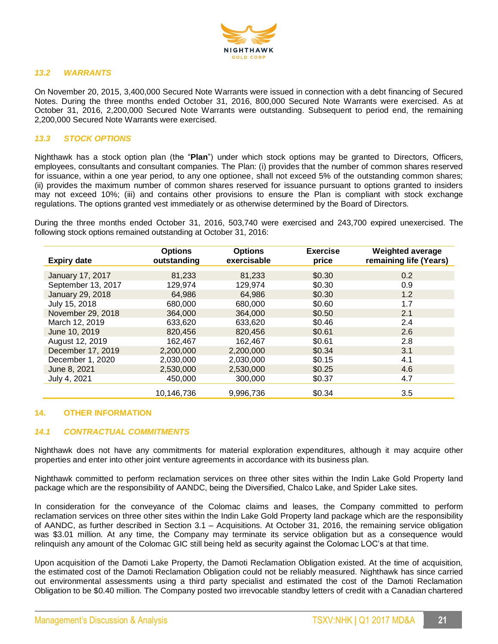

#### *13.2 WARRANTS*

On November 20, 2015, 3,400,000 Secured Note Warrants were issued in connection with a debt financing of Secured Notes. During the three months ended October 31, 2016, 800,000 Secured Note Warrants were exercised. As at October 31, 2016, 2,200,000 Secured Note Warrants were outstanding. Subsequent to period end, the remaining 2,200,000 Secured Note Warrants were exercised.

# *13.3 STOCK OPTIONS*

Nighthawk has a stock option plan (the "**Plan**") under which stock options may be granted to Directors, Officers, employees, consultants and consultant companies. The Plan: (i) provides that the number of common shares reserved for issuance, within a one year period, to any one optionee, shall not exceed 5% of the outstanding common shares; (ii) provides the maximum number of common shares reserved for issuance pursuant to options granted to insiders may not exceed 10%; (iii) and contains other provisions to ensure the Plan is compliant with stock exchange regulations. The options granted vest immediately or as otherwise determined by the Board of Directors.

During the three months ended October 31, 2016, 503,740 were exercised and 243,700 expired unexercised. The following stock options remained outstanding at October 31, 2016:

| <b>Expiry date</b> | <b>Options</b><br>outstanding | <b>Options</b><br>exercisable | <b>Exercise</b><br>price | <b>Weighted average</b><br>remaining life (Years) |
|--------------------|-------------------------------|-------------------------------|--------------------------|---------------------------------------------------|
| January 17, 2017   | 81,233                        | 81,233                        | \$0.30                   | 0.2                                               |
| September 13, 2017 | 129,974                       | 129,974                       | \$0.30                   | 0.9                                               |
|                    |                               |                               |                          |                                                   |
| January 29, 2018   | 64,986                        | 64,986                        | \$0.30                   | 1.2                                               |
| July 15, 2018      | 680,000                       | 680,000                       | \$0.60                   | 1.7                                               |
| November 29, 2018  | 364,000                       | 364,000                       | \$0.50                   | 2.1                                               |
| March 12, 2019     | 633,620                       | 633,620                       | \$0.46                   | 2.4                                               |
| June 10, 2019      | 820,456                       | 820,456                       | \$0.61                   | 2.6                                               |
| August 12, 2019    | 162,467                       | 162,467                       | \$0.61                   | 2.8                                               |
| December 17, 2019  | 2,200,000                     | 2.200.000                     | \$0.34                   | 3.1                                               |
| December 1, 2020   | 2,030,000                     | 2.030.000                     | \$0.15                   | 4.1                                               |
| June 8, 2021       | 2,530,000                     | 2,530,000                     | \$0.25                   | 4.6                                               |
| July 4, 2021       | 450,000                       | 300,000                       | \$0.37                   | 4.7                                               |
|                    | 10,146,736                    | 9,996,736                     | \$0.34                   | 3.5                                               |

#### **14. OTHER INFORMATION**

#### *14.1 CONTRACTUAL COMMITMENTS*

Nighthawk does not have any commitments for material exploration expenditures, although it may acquire other properties and enter into other joint venture agreements in accordance with its business plan.

Nighthawk committed to perform reclamation services on three other sites within the Indin Lake Gold Property land package which are the responsibility of AANDC, being the Diversified, Chalco Lake, and Spider Lake sites.

In consideration for the conveyance of the Colomac claims and leases, the Company committed to perform reclamation services on three other sites within the Indin Lake Gold Property land package which are the responsibility of AANDC, as further described in Section 3.1 – Acquisitions. At October 31, 2016, the remaining service obligation was \$3.01 million. At any time, the Company may terminate its service obligation but as a consequence would relinquish any amount of the Colomac GIC still being held as security against the Colomac LOC's at that time.

Upon acquisition of the Damoti Lake Property, the Damoti Reclamation Obligation existed. At the time of acquisition, the estimated cost of the Damoti Reclamation Obligation could not be reliably measured. Nighthawk has since carried out environmental assessments using a third party specialist and estimated the cost of the Damoti Reclamation Obligation to be \$0.40 million. The Company posted two irrevocable standby letters of credit with a Canadian chartered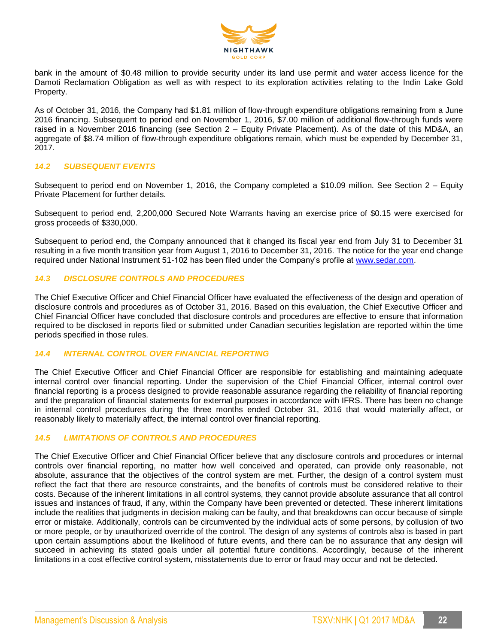

bank in the amount of \$0.48 million to provide security under its land use permit and water access licence for the Damoti Reclamation Obligation as well as with respect to its exploration activities relating to the Indin Lake Gold Property.

As of October 31, 2016, the Company had \$1.81 million of flow-through expenditure obligations remaining from a June 2016 financing. Subsequent to period end on November 1, 2016, \$7.00 million of additional flow-through funds were raised in a November 2016 financing (see Section 2 – Equity Private Placement). As of the date of this MD&A, an aggregate of \$8.74 million of flow-through expenditure obligations remain, which must be expended by December 31, 2017.

## *14.2 SUBSEQUENT EVENTS*

Subsequent to period end on November 1, 2016, the Company completed a \$10.09 million. See Section 2 – Equity Private Placement for further details.

Subsequent to period end, 2,200,000 Secured Note Warrants having an exercise price of \$0.15 were exercised for gross proceeds of \$330,000.

Subsequent to period end, the Company announced that it changed its fiscal year end from July 31 to December 31 resulting in a five month transition year from August 1, 2016 to December 31, 2016. The notice for the year end change required under National Instrument 51-102 has been filed under the Company's profile at [www.sedar.com.](http://www.sedar.com/)

# *14.3 DISCLOSURE CONTROLS AND PROCEDURES*

The Chief Executive Officer and Chief Financial Officer have evaluated the effectiveness of the design and operation of disclosure controls and procedures as of October 31, 2016. Based on this evaluation, the Chief Executive Officer and Chief Financial Officer have concluded that disclosure controls and procedures are effective to ensure that information required to be disclosed in reports filed or submitted under Canadian securities legislation are reported within the time periods specified in those rules.

## *14.4 INTERNAL CONTROL OVER FINANCIAL REPORTING*

The Chief Executive Officer and Chief Financial Officer are responsible for establishing and maintaining adequate internal control over financial reporting. Under the supervision of the Chief Financial Officer, internal control over financial reporting is a process designed to provide reasonable assurance regarding the reliability of financial reporting and the preparation of financial statements for external purposes in accordance with IFRS. There has been no change in internal control procedures during the three months ended October 31, 2016 that would materially affect, or reasonably likely to materially affect, the internal control over financial reporting.

#### *14.5 LIMITATIONS OF CONTROLS AND PROCEDURES*

The Chief Executive Officer and Chief Financial Officer believe that any disclosure controls and procedures or internal controls over financial reporting, no matter how well conceived and operated, can provide only reasonable, not absolute, assurance that the objectives of the control system are met. Further, the design of a control system must reflect the fact that there are resource constraints, and the benefits of controls must be considered relative to their costs. Because of the inherent limitations in all control systems, they cannot provide absolute assurance that all control issues and instances of fraud, if any, within the Company have been prevented or detected. These inherent limitations include the realities that judgments in decision making can be faulty, and that breakdowns can occur because of simple error or mistake. Additionally, controls can be circumvented by the individual acts of some persons, by collusion of two or more people, or by unauthorized override of the control. The design of any systems of controls also is based in part upon certain assumptions about the likelihood of future events, and there can be no assurance that any design will succeed in achieving its stated goals under all potential future conditions. Accordingly, because of the inherent limitations in a cost effective control system, misstatements due to error or fraud may occur and not be detected.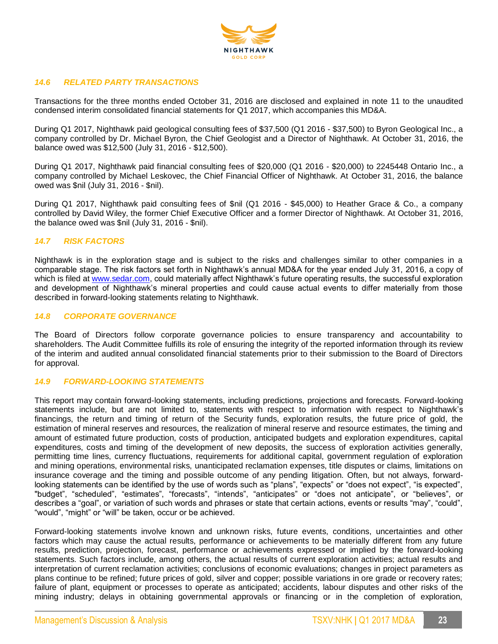

# *14.6 RELATED PARTY TRANSACTIONS*

Transactions for the three months ended October 31, 2016 are disclosed and explained in note 11 to the unaudited condensed interim consolidated financial statements for Q1 2017, which accompanies this MD&A.

During Q1 2017, Nighthawk paid geological consulting fees of \$37,500 (Q1 2016 - \$37,500) to Byron Geological Inc., a company controlled by Dr. Michael Byron, the Chief Geologist and a Director of Nighthawk. At October 31, 2016, the balance owed was \$12,500 (July 31, 2016 - \$12,500).

During Q1 2017, Nighthawk paid financial consulting fees of \$20,000 (Q1 2016 - \$20,000) to 2245448 Ontario Inc., a company controlled by Michael Leskovec, the Chief Financial Officer of Nighthawk. At October 31, 2016, the balance owed was \$nil (July 31, 2016 - \$nil).

During Q1 2017, Nighthawk paid consulting fees of \$nil (Q1 2016 - \$45,000) to Heather Grace & Co., a company controlled by David Wiley, the former Chief Executive Officer and a former Director of Nighthawk. At October 31, 2016, the balance owed was \$nil (July 31, 2016 - \$nil).

# *14.7 RISK FACTORS*

Nighthawk is in the exploration stage and is subject to the risks and challenges similar to other companies in a comparable stage. The risk factors set forth in Nighthawk's annual MD&A for the year ended July 31, 2016, a copy of which is filed at [www.sedar.com,](http://www.sedar.com/) could materially affect Nighthawk's future operating results, the successful exploration and development of Nighthawk's mineral properties and could cause actual events to differ materially from those described in forward-looking statements relating to Nighthawk.

#### *14.8 CORPORATE GOVERNANCE*

The Board of Directors follow corporate governance policies to ensure transparency and accountability to shareholders. The Audit Committee fulfills its role of ensuring the integrity of the reported information through its review of the interim and audited annual consolidated financial statements prior to their submission to the Board of Directors for approval.

#### *14.9 FORWARD-LOOKING STATEMENTS*

This report may contain forward-looking statements, including predictions, projections and forecasts. Forward-looking statements include, but are not limited to, statements with respect to information with respect to Nighthawk's financings, the return and timing of return of the Security funds, exploration results, the future price of gold, the estimation of mineral reserves and resources, the realization of mineral reserve and resource estimates, the timing and amount of estimated future production, costs of production, anticipated budgets and exploration expenditures, capital expenditures, costs and timing of the development of new deposits, the success of exploration activities generally, permitting time lines, currency fluctuations, requirements for additional capital, government regulation of exploration and mining operations, environmental risks, unanticipated reclamation expenses, title disputes or claims, limitations on insurance coverage and the timing and possible outcome of any pending litigation. Often, but not always, forwardlooking statements can be identified by the use of words such as "plans", "expects" or "does not expect", "is expected", "budget", "scheduled", "estimates", "forecasts", "intends", "anticipates" or "does not anticipate", or "believes", or describes a "goal", or variation of such words and phrases or state that certain actions, events or results "may", "could", "would", "might" or "will" be taken, occur or be achieved.

Forward-looking statements involve known and unknown risks, future events, conditions, uncertainties and other factors which may cause the actual results, performance or achievements to be materially different from any future results, prediction, projection, forecast, performance or achievements expressed or implied by the forward-looking statements. Such factors include, among others, the actual results of current exploration activities; actual results and interpretation of current reclamation activities; conclusions of economic evaluations; changes in project parameters as plans continue to be refined; future prices of gold, silver and copper; possible variations in ore grade or recovery rates; failure of plant, equipment or processes to operate as anticipated; accidents, labour disputes and other risks of the mining industry; delays in obtaining governmental approvals or financing or in the completion of exploration,